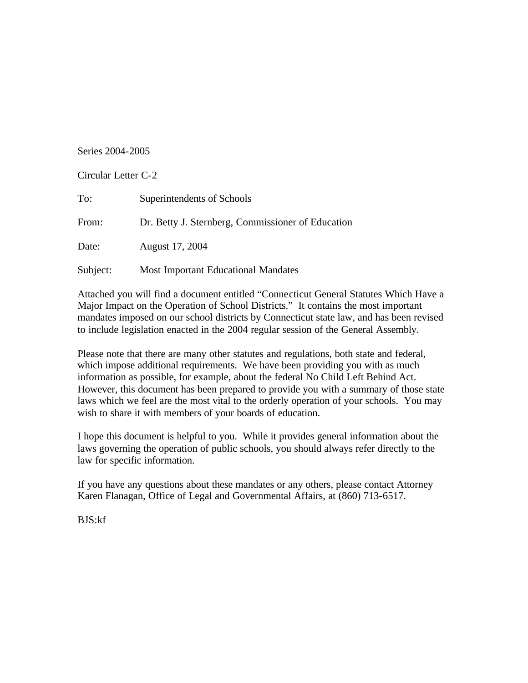## Series 2004-2005

| Circular Letter C-2 |                                                   |
|---------------------|---------------------------------------------------|
| To:                 | Superintendents of Schools                        |
| From:               | Dr. Betty J. Sternberg, Commissioner of Education |
| Date:               | August 17, 2004                                   |
| Subject:            | <b>Most Important Educational Mandates</b>        |

Attached you will find a document entitled "Connecticut General Statutes Which Have a Major Impact on the Operation of School Districts." It contains the most important mandates imposed on our school districts by Connecticut state law, and has been revised to include legislation enacted in the 2004 regular session of the General Assembly.

Please note that there are many other statutes and regulations, both state and federal, which impose additional requirements. We have been providing you with as much information as possible, for example, about the federal No Child Left Behind Act. However, this document has been prepared to provide you with a summary of those state laws which we feel are the most vital to the orderly operation of your schools. You may wish to share it with members of your boards of education.

I hope this document is helpful to you. While it provides general information about the laws governing the operation of public schools, you should always refer directly to the law for specific information.

If you have any questions about these mandates or any others, please contact Attorney Karen Flanagan, Office of Legal and Governmental Affairs, at (860) 713-6517.

BJS:kf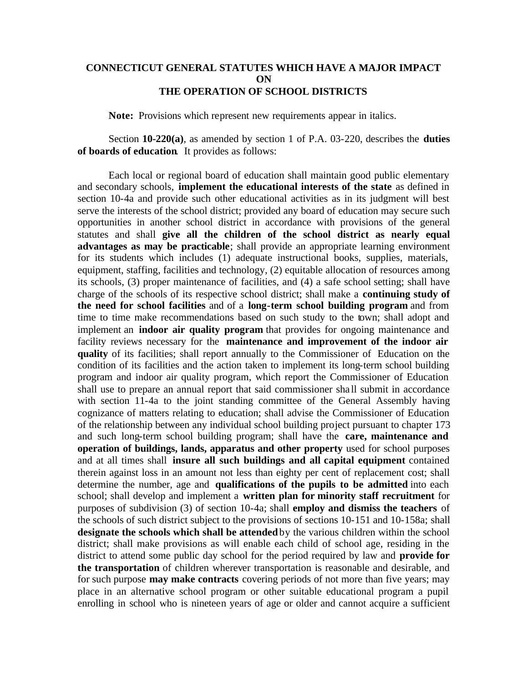## **CONNECTICUT GENERAL STATUTES WHICH HAVE A MAJOR IMPACT ON THE OPERATION OF SCHOOL DISTRICTS**

**Note:** Provisions which represent new requirements appear in italics.

Section **10-220(a)**, as amended by section 1 of P.A. 03-220, describes the **duties of boards of education**. It provides as follows:

Each local or regional board of education shall maintain good public elementary and secondary schools, **implement the educational interests of the state** as defined in section 10-4a and provide such other educational activities as in its judgment will best serve the interests of the school district; provided any board of education may secure such opportunities in another school district in accordance with provisions of the general statutes and shall **give all the children of the school district as nearly equal advantages as may be practicable**; shall provide an appropriate learning environment for its students which includes (1) adequate instructional books, supplies, materials, equipment, staffing, facilities and technology, (2) equitable allocation of resources among its schools, (3) proper maintenance of facilities, and (4) a safe school setting; shall have charge of the schools of its respective school district; shall make a **continuing study of the need for school facilities** and of a **long-term school building program** and from time to time make recommendations based on such study to the town; shall adopt and implement an **indoor air quality program** that provides for ongoing maintenance and facility reviews necessary for the **maintenance and improvement of the indoor air quality** of its facilities; shall report annually to the Commissioner of Education on the condition of its facilities and the action taken to implement its long-term school building program and indoor air quality program, which report the Commissioner of Education shall use to prepare an annual report that said commissioner sha ll submit in accordance with section 11-4a to the joint standing committee of the General Assembly having cognizance of matters relating to education; shall advise the Commissioner of Education of the relationship between any individual school building project pursuant to chapter 173 and such long-term school building program; shall have the **care, maintenance and operation of buildings, lands, apparatus and other property** used for school purposes and at all times shall **insure all such buildings and all capital equipment** contained therein against loss in an amount not less than eighty per cent of replacement cost; shall determine the number, age and **qualifications of the pupils to be admitted** into each school; shall develop and implement a **written plan for minority staff recruitment** for purposes of subdivision (3) of section 10-4a; shall **employ and dismiss the teachers** of the schools of such district subject to the provisions of sections 10-151 and 10-158a; shall **designate the schools which shall be attended** by the various children within the school district; shall make provisions as will enable each child of school age, residing in the district to attend some public day school for the period required by law and **provide for the transportation** of children wherever transportation is reasonable and desirable, and for such purpose **may make contracts** covering periods of not more than five years; may place in an alternative school program or other suitable educational program a pupil enrolling in school who is nineteen years of age or older and cannot acquire a sufficient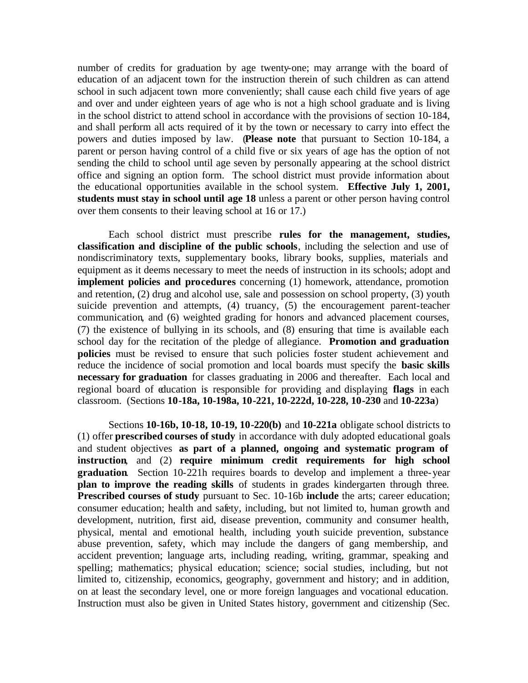number of credits for graduation by age twenty-one; may arrange with the board of education of an adjacent town for the instruction therein of such children as can attend school in such adjacent town more conveniently; shall cause each child five years of age and over and under eighteen years of age who is not a high school graduate and is living in the school district to attend school in accordance with the provisions of section 10-184, and shall perform all acts required of it by the town or necessary to carry into effect the powers and duties imposed by law. (**Please note** that pursuant to Section 10-184, a parent or person having control of a child five or six years of age has the option of not sending the child to school until age seven by personally appearing at the school district office and signing an option form. The school district must provide information about the educational opportunities available in the school system. **Effective July 1, 2001, students must stay in school until age 18** unless a parent or other person having control over them consents to their leaving school at 16 or 17.)

Each school district must prescribe **rules for the management, studies, classification and discipline of the public schools**, including the selection and use of nondiscriminatory texts, supplementary books, library books, supplies, materials and equipment as it deems necessary to meet the needs of instruction in its schools; adopt and **implement policies and procedures** concerning (1) homework, attendance, promotion and retention, (2) drug and alcohol use, sale and possession on school property, (3) youth suicide prevention and attempts, (4) truancy, (5) the encouragement parent-teacher communication*,* and (6) weighted grading for honors and advanced placement courses, (7) the existence of bullying in its schools, and (8) ensuring that time is available each school day for the recitation of the pledge of allegiance. **Promotion and graduation policies** must be revised to ensure that such policies foster student achievement and reduce the incidence of social promotion and local boards must specify the **basic skills necessary for graduation** for classes graduating in 2006 and thereafter. Each local and regional board of education is responsible for providing and displaying **flags** in each classroom. (Sections **10-18a, 10-198a, 10-221, 10-222d, 10-228, 10-230** and **10-223a**)

Sections **10-16b, 10-18, 10-19, 10-220(b)** and **10-221a** obligate school districts to (1) offer **prescribed courses of study** in accordance with duly adopted educational goals and student objectives **as part of a planned, ongoing and systematic program of instruction**, and (2) **require minimum credit requirements for high school graduation**. Section 10-221h requires boards to develop and implement a three-year **plan to improve the reading skills** of students in grades kindergarten through three*.*  **Prescribed courses of study** pursuant to Sec. 10-16b **include** the arts; career education; consumer education; health and safety, including, but not limited to, human growth and development, nutrition, first aid, disease prevention, community and consumer health, physical, mental and emotional health, including youth suicide prevention, substance abuse prevention, safety, which may include the dangers of gang membership, and accident prevention; language arts, including reading, writing, grammar, speaking and spelling; mathematics; physical education; science; social studies, including, but not limited to, citizenship, economics, geography, government and history; and in addition, on at least the secondary level, one or more foreign languages and vocational education. Instruction must also be given in United States history, government and citizenship (Sec.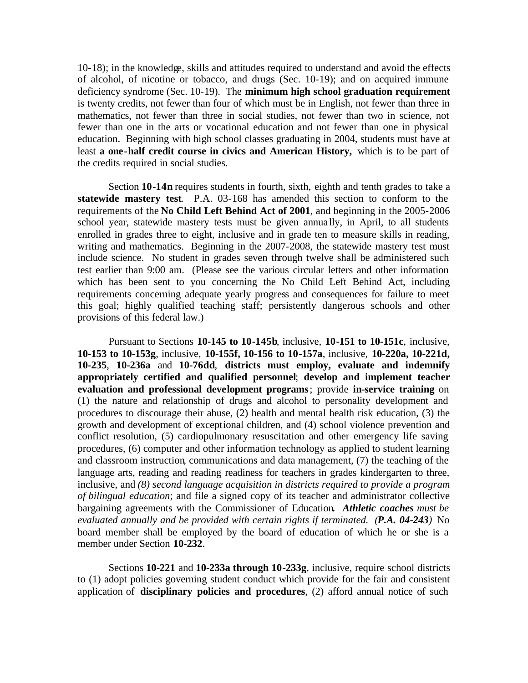10-18); in the knowledge, skills and attitudes required to understand and avoid the effects of alcohol, of nicotine or tobacco, and drugs (Sec. 10-19); and on acquired immune deficiency syndrome (Sec. 10-19). The **minimum high school graduation requirement**  is twenty credits, not fewer than four of which must be in English, not fewer than three in mathematics, not fewer than three in social studies, not fewer than two in science, not fewer than one in the arts or vocational education and not fewer than one in physical education. Beginning with high school classes graduating in 2004, students must have at least **a one-half credit course in civics and American History,** which is to be part of the credits required in social studies.

Section **10-14n** requires students in fourth, sixth, eighth and tenth grades to take a **statewide mastery test**. P.A. 03-168 has amended this section to conform to the requirements of the **No Child Left Behind Act of 2001**, and beginning in the 2005-2006 school year, statewide mastery tests must be given annually, in April, to all students enrolled in grades three to eight, inclusive and in grade ten to measure skills in reading, writing and mathematics. Beginning in the 2007-2008, the statewide mastery test must include science. No student in grades seven through twelve shall be administered such test earlier than 9:00 am. (Please see the various circular letters and other information which has been sent to you concerning the No Child Left Behind Act, including requirements concerning adequate yearly progress and consequences for failure to meet this goal; highly qualified teaching staff; persistently dangerous schools and other provisions of this federal law.)

Pursuant to Sections **10-145 to 10-145b**, inclusive, **10-151 to 10-151c**, inclusive, **10-153 to 10-153g**, inclusive, **10-155f, 10-156 to 10-157a**, inclusive, **10-220a, 10-221d, 10-235**, **10-236a** and **10-76dd**, **districts must employ, evaluate and indemnify appropriately certified and qualified personnel**; **develop and implement teacher evaluation and professional development programs** ; provide **in-service training** on (1) the nature and relationship of drugs and alcohol to personality development and procedures to discourage their abuse, (2) health and mental health risk education, (3) the growth and development of exceptional children, and (4) school violence prevention and conflict resolution, (5) cardiopulmonary resuscitation and other emergency life saving procedures, (6) computer and other information technology as applied to student learning and classroom instruction, communications and data management, (7) the teaching of the language arts, reading and reading readiness for teachers in grades kindergarten to three*,*  inclusive, and *(8) second language acquisition in districts required to provide a program of bilingual education*; and file a signed copy of its teacher and administrator collective bargaining agreements with the Commissioner of Education**.** *Athletic coaches must be evaluated annually and be provided with certain rights if terminated. (P.A. 04-243)* No board member shall be employed by the board of education of which he or she is a member under Section **10-232**.

Sections **10-221** and **10-233a through 10-233g**, inclusive, require school districts to (1) adopt policies governing student conduct which provide for the fair and consistent application of **disciplinary policies and procedures**, (2) afford annual notice of such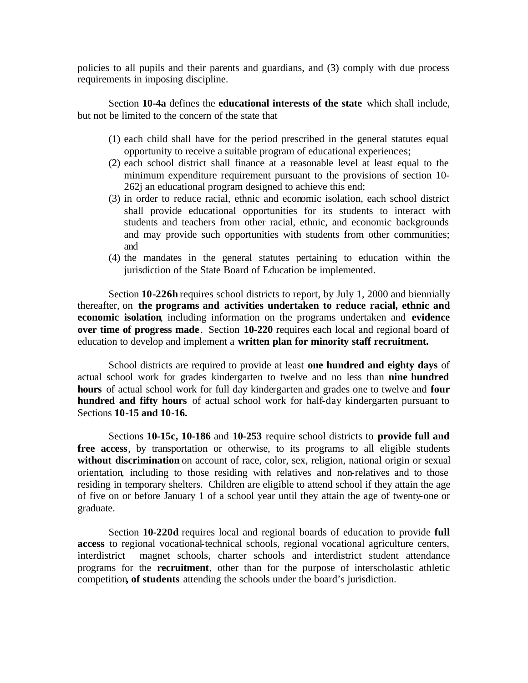policies to all pupils and their parents and guardians, and (3) comply with due process requirements in imposing discipline.

Section **10-4a** defines the **educational interests of the state** which shall include, but not be limited to the concern of the state that

- (1) each child shall have for the period prescribed in the general statutes equal opportunity to receive a suitable program of educational experiences;
- (2) each school district shall finance at a reasonable level at least equal to the minimum expenditure requirement pursuant to the provisions of section 10- 262j an educational program designed to achieve this end;
- (3) in order to reduce racial, ethnic and economic isolation, each school district shall provide educational opportunities for its students to interact with students and teachers from other racial, ethnic, and economic backgrounds and may provide such opportunities with students from other communities; and
- (4) the mandates in the general statutes pertaining to education within the jurisdiction of the State Board of Education be implemented.

Section **10-226h** requires school districts to report, by July 1, 2000 and biennially thereafter, on **the programs and activities undertaken to reduce racial, ethnic and economic isolation**, including information on the programs undertaken and **evidence over time of progress made**. Section 10-220 requires each local and regional board of education to develop and implement a **written plan for minority staff recruitment.** 

School districts are required to provide at least **one hundred and eighty days** of actual school work for grades kindergarten to twelve and no less than **nine hundred hours** of actual school work for full day kindergarten and grades one to twelve and **four hundred and fifty hours** of actual school work for half-day kindergarten pursuant to Sections **10-15 and 10-16.** 

Sections **10-15c, 10-186** and **10-253** require school districts to **provide full and free access**, by transportation or otherwise, to its programs to all eligible students without discrimination on account of race, color, sex, religion, national origin or sexual orientation*,* including to those residing with relatives and non-relatives and to those residing in temporary shelters. Children are eligible to attend school if they attain the age of five on or before January 1 of a school year until they attain the age of twenty-one or graduate.

Section **10-220d** requires local and regional boards of education to provide **full access** to regional vocational-technical schools, regional vocational agriculture centers, interdistrict magnet schools, charter schools and interdistrict student attendance programs for the **recruitment**, other than for the purpose of interscholastic athletic competition**, of students** attending the schools under the board's jurisdiction.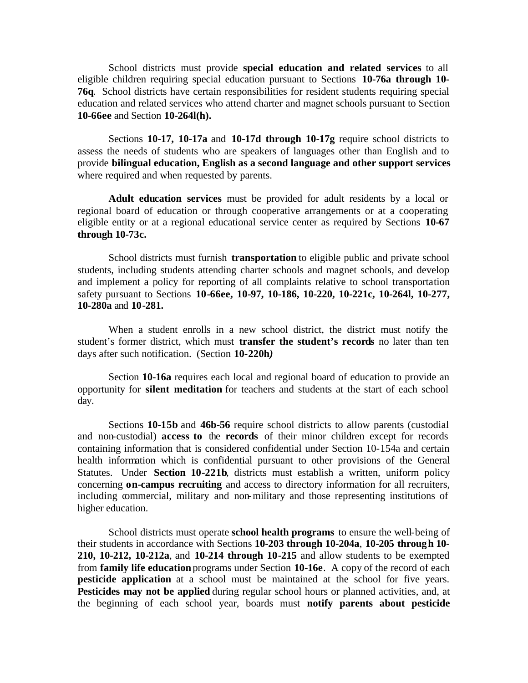School districts must provide **special education and related services** to all eligible children requiring special education pursuant to Sections **10-76a through 10- 76q**. School districts have certain responsibilities for resident students requiring special education and related services who attend charter and magnet schools pursuant to Section **10-66ee** and Section **10-264l(h).** 

Sections **10-17, 10-17a** and **10-17d through 10-17g** require school districts to assess the needs of students who are speakers of languages other than English and to provide **bilingual education, English as a second language and other support services**  where required and when requested by parents.

**Adult education services** must be provided for adult residents by a local or regional board of education or through cooperative arrangements or at a cooperating eligible entity or at a regional educational service center as required by Sections **10-67 through 10-73c.** 

School districts must furnish **transportation** to eligible public and private school students, including students attending charter schools and magnet schools, and develop and implement a policy for reporting of all complaints relative to school transportation safety pursuant to Sections **10-66ee, 10-97, 10-186, 10-220, 10-221c, 10-264l, 10-277, 10-280a** and **10-281.** 

When a student enrolls in a new school district, the district must notify the student's former district, which must **transfer the student's records** no later than ten days after such notification. (Section **10-220h***)* 

Section **10-16a** requires each local and regional board of education to provide an opportunity for **silent meditation** for teachers and students at the start of each school day.

Sections **10-15b** and **46b-56** require school districts to allow parents (custodial and non-custodial) **access to** the **records** of their minor children except for records containing information that is considered confidential under Section 10-154a and certain health information which is confidential pursuant to other provisions of the General Statutes. Under **Section 10-221b**, districts must establish a written, uniform policy concerning **on-campus recruiting** and access to directory information for all recruiters, including commercial, military and non-military and those representing institutions of higher education.

School districts must operate **school health programs** to ensure the well-being of their students in accordance with Sections **10-203 through 10-204a**, **10-205 through 10**- **210, 10-212, 10-212a**, and **10-214 through 10-215** and allow students to be exempted from **family life education** programs under Section **10-16e**. A copy of the record of each **pesticide application** at a school must be maintained at the school for five years. **Pesticides may not be applied** during regular school hours or planned activities, and, at the beginning of each school year, boards must **notify parents about pesticide**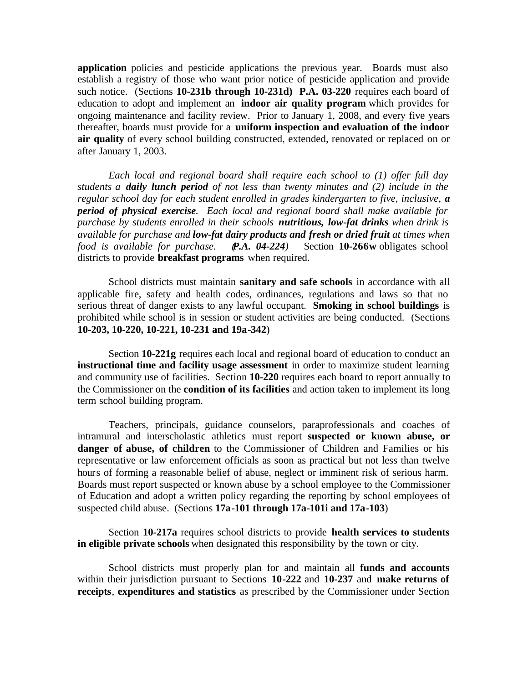**application** policies and pesticide applications the previous year. Boards must also establish a registry of those who want prior notice of pesticide application and provide such notice. (Sections **10-231b through 10-231d) P.A. 03-220** requires each board of education to adopt and implement an **indoor air quality program** which provides for ongoing maintenance and facility review. Prior to January 1, 2008, and every five years thereafter, boards must provide for a **uniform inspection and evaluation of the indoor air quality** of every school building constructed, extended, renovated or replaced on or after January 1, 2003.

*Each local and regional board shall require each school to (1) offer full day students a daily lunch period of not less than twenty minutes and (2) include in the regular school day for each student enrolled in grades kindergarten to five, inclusive, a period of physical exercise. Each local and regional board shall make available for purchase by students enrolled in their schools nutritious, low-fat drinks when drink is available for purchase and low-fat dairy products and fresh or dried fruit at times when food is available for purchase. P.A. 04-224)* Section **10-266w** obligates school districts to provide **breakfast programs** when required.

School districts must maintain **sanitary and safe schools** in accordance with all applicable fire, safety and health codes, ordinances, regulations and laws so that no serious threat of danger exists to any lawful occupant. **Smoking in school buildings** is prohibited while school is in session or student activities are being conducted. (Sections **10-203, 10-220, 10-221, 10-231 and 19a-342**)

Section **10-221g** requires each local and regional board of education to conduct an **instructional time and facility usage assessment** in order to maximize student learning and community use of facilities. Section **10-220** requires each board to report annually to the Commissioner on the **condition of its facilities** and action taken to implement its long term school building program.

Teachers, principals, guidance counselors, paraprofessionals and coaches of intramural and interscholastic athletics must report **suspected or known abuse, or danger of abuse, of children** to the Commissioner of Children and Families or his representative or law enforcement officials as soon as practical but not less than twelve hours of forming a reasonable belief of abuse, neglect or imminent risk of serious harm. Boards must report suspected or known abuse by a school employee to the Commissioner of Education and adopt a written policy regarding the reporting by school employees of suspected child abuse. (Sections **17a-101 through 17a-101i and 17a-103**)

Section **10-217a** requires school districts to provide **health services to students in eligible private schools** when designated this responsibility by the town or city.

School districts must properly plan for and maintain all **funds and accounts**  within their jurisdiction pursuant to Sections **10-222** and **10-237** and **make returns of receipts**, **expenditures and statistics** as prescribed by the Commissioner under Section